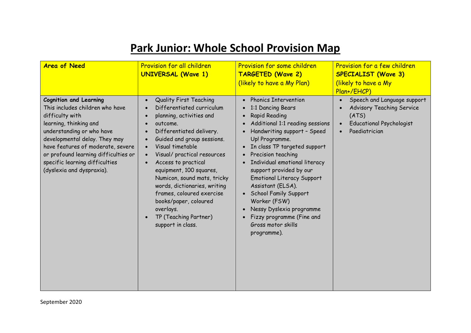## **Park Junior: Whole School Provision Map**

| <b>Area of Need</b>                                                                                                                                                                                                                                                                                                     | <b>Provision for all children</b><br><b>UNIVERSAL (Wave 1)</b>                                                                                                                                                                                                                                                                                                                                                                                                                                                                                                         | <b>Provision for some children</b><br><b>TARGETED (Wave 2)</b><br>(likely to have a My Plan)                                                                                                                                                                                                                                                                                                                                                                                                             | Provision for a few children<br><b>SPECIALIST (Wave 3)</b><br>(likely to have a My<br>Plan+/EHCP)                                         |
|-------------------------------------------------------------------------------------------------------------------------------------------------------------------------------------------------------------------------------------------------------------------------------------------------------------------------|------------------------------------------------------------------------------------------------------------------------------------------------------------------------------------------------------------------------------------------------------------------------------------------------------------------------------------------------------------------------------------------------------------------------------------------------------------------------------------------------------------------------------------------------------------------------|----------------------------------------------------------------------------------------------------------------------------------------------------------------------------------------------------------------------------------------------------------------------------------------------------------------------------------------------------------------------------------------------------------------------------------------------------------------------------------------------------------|-------------------------------------------------------------------------------------------------------------------------------------------|
| <b>Cognition and Learning</b><br>This includes children who have<br>difficulty with<br>learning, thinking and<br>understanding or who have<br>developmental delay. They may<br>have features of moderate, severe<br>or profound learning difficulties or<br>specific learning difficulties<br>(dyslexia and dyspraxia). | <b>Quality First Teaching</b><br>$\bullet$<br>Differentiated curriculum<br>$\bullet$<br>planning, activities and<br>$\bullet$<br>outcome.<br>Differentiated delivery.<br>$\bullet$<br>Guided and group sessions.<br>$\bullet$<br>Visual timetable<br>$\bullet$<br>Visual/ practical resources<br>$\bullet$<br>Access to practical<br>$\bullet$<br>equipment, 100 squares,<br>Numicon, sound mats, tricky<br>words, dictionaries, writing<br>frames, coloured exercise<br>books/paper, coloured<br>overlays.<br>TP (Teaching Partner)<br>$\bullet$<br>support in class. | • Phonics Intervention<br>1:1 Dancing Bears<br><b>Rapid Reading</b><br>$\bullet$<br>Additional 1:1 reading sessions<br>Handwriting support - Speed<br>Up! Programme.<br>• In class TP targeted support<br>Precision teaching<br>Individual emotional literacy<br>$\bullet$<br>support provided by our<br><b>Emotional Literacy Support</b><br>Assistant (ELSA).<br>• School Family Support<br>Worker (FSW)<br>Nessy Dyslexia programme<br>Fizzy programme (Fine and<br>Gross motor skills<br>programme). | Speech and Language support<br>$\bullet$<br><b>Advisory Teaching Service</b><br>(ATS)<br><b>Educational Psychologist</b><br>Paediatrician |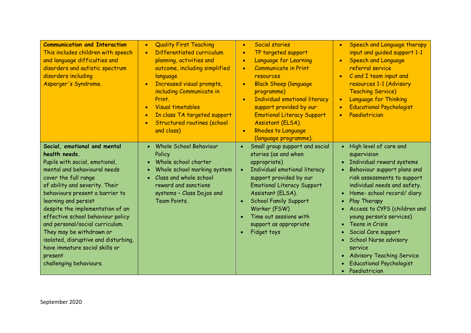| <b>Communication and Interaction</b><br>This includes children with speech<br>and language difficulties and<br>disorders and autistic spectrum<br>disorders including<br>Asperger's Syndrome.                                                                                                                                                                                                                                                                                                | <b>Quality First Teaching</b><br>$\bullet$<br>Differentiated curriculum<br>$\bullet$<br>planning, activities and<br>outcome, including simplified<br>language<br>Increased visual prompts,<br>$\bullet$<br>including Communicate in<br>Print.<br><b>Visual timetables</b><br>$\bullet$<br>In class TA targeted support<br>$\bullet$<br>Structured routines (school<br>$\bullet$<br>and class) | Social stories<br>$\bullet$<br>TP targeted support<br>$\bullet$<br>Language for Learning<br>$\bullet$<br><b>Communicate in Print</b><br>resources<br><b>Black Sheep (language</b><br>programme)<br><b>Individual emotional literacy</b><br>support provided by our<br><b>Emotional Literacy Support</b><br>Assistant (ELSA).<br><b>Rhodes to Language</b><br>(language programme). | Speech and Language therapy<br>$\bullet$<br>input and quided support 1-1<br><b>Speech and Language</b><br>$\bullet$<br>referral service<br>C and I team input and<br>$\bullet$<br>resources 1-1 (Advisory<br><b>Teaching Service)</b><br><b>Language for Thinking</b><br><b>Educational Psychologist</b><br>Paediatrician                                                                                                                             |
|----------------------------------------------------------------------------------------------------------------------------------------------------------------------------------------------------------------------------------------------------------------------------------------------------------------------------------------------------------------------------------------------------------------------------------------------------------------------------------------------|-----------------------------------------------------------------------------------------------------------------------------------------------------------------------------------------------------------------------------------------------------------------------------------------------------------------------------------------------------------------------------------------------|------------------------------------------------------------------------------------------------------------------------------------------------------------------------------------------------------------------------------------------------------------------------------------------------------------------------------------------------------------------------------------|-------------------------------------------------------------------------------------------------------------------------------------------------------------------------------------------------------------------------------------------------------------------------------------------------------------------------------------------------------------------------------------------------------------------------------------------------------|
| Social, emotional and mental<br>health needs.<br>Pupils with social, emotional,<br>mental and behavioural needs<br>cover the full range<br>of ability and severity. Their<br>behaviours present a barrier to<br>learning and persist<br>despite the implementation of an<br>effective school behaviour policy<br>and personal/social curriculum.<br>They may be withdrawn or<br>isolated, disruptive and disturbing,<br>have immature social skills or<br>present<br>challenging behaviours. | <b>Whole School Behaviour</b><br>Policy<br>Whole school charter<br>Whole school marking system<br>Class and whole school<br>reward and sanctions<br>systems - Class Dojos and<br>Team Points.                                                                                                                                                                                                 | Small group support and social<br>$\bullet$<br>stories (as and when<br>appropriate)<br>Individual emotional literacy<br>$\bullet$<br>support provided by our<br><b>Emotional Literacy Support</b><br>Assistant (ELSA).<br><b>School Family Support</b><br>$\bullet$<br>Worker (FSW)<br>Time out sessions with<br>$\bullet$<br>support as appropriate<br>Fidget toys<br>$\bullet$   | High level of care and<br>supervision<br>Individual reward systems<br>Behaviour support plans and<br>risk assessments to support<br>individual needs and safety.<br>Home-school record/diary<br>Play Therapy<br>Access to CYPS (children and<br>young person's services)<br>Teens in Crisis<br>Social Care support<br><b>School Nurse advisory</b><br>service<br><b>Advisory Teaching Service</b><br><b>Educational Psychologist</b><br>Paediatrician |